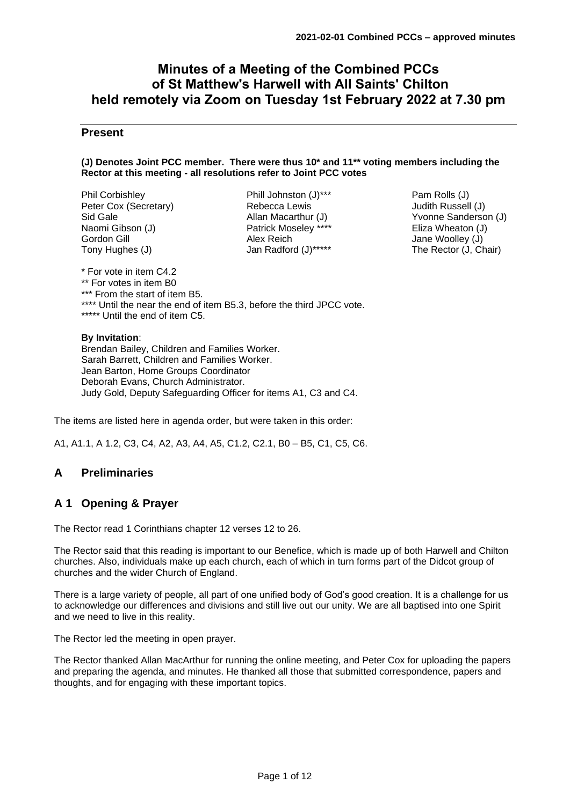# **Minutes of a Meeting of the Combined PCCs of St Matthew's Harwell with All Saints' Chilton held remotely via Zoom on Tuesday 1st February 2022 at 7.30 pm**

# **Present**

#### **(J) Denotes Joint PCC member. There were thus 10\* and 11\*\* voting members including the Rector at this meeting - all resolutions refer to Joint PCC votes**

Phil Corbishley Peter Cox (Secretary) Sid Gale Naomi Gibson (J) Gordon Gill Tony Hughes (J)

Phill Johnston (J)\*\*\* Rebecca Lewis Allan Macarthur (J) Patrick Moseley \*\*\*\* Alex Reich Jan Radford (J)\*\*\*\*\*

Pam Rolls (J) Judith Russell (J) Yvonne Sanderson (J) Eliza Wheaton (J) Jane Woolley (J) The Rector (J, Chair)

\* For vote in item C4.2 \*\* For votes in item B0 \*\*\* From the start of item B5. \*\*\*\* Until the near the end of item B5.3, before the third JPCC vote. \*\*\*\*\* Until the end of item C5.

### **By Invitation**:

Brendan Bailey, Children and Families Worker. Sarah Barrett, Children and Families Worker. Jean Barton, Home Groups Coordinator Deborah Evans, Church Administrator. Judy Gold, Deputy Safeguarding Officer for items A1, C3 and C4.

The items are listed here in agenda order, but were taken in this order:

A1, A1.1, A 1.2, C3, C4, A2, A3, A4, A5, C1.2, C2.1, B0 – B5, C1, C5, C6.

# **A Preliminaries**

# **A 1 Opening & Prayer**

The Rector read 1 Corinthians chapter 12 verses 12 to 26.

The Rector said that this reading is important to our Benefice, which is made up of both Harwell and Chilton churches. Also, individuals make up each church, each of which in turn forms part of the Didcot group of churches and the wider Church of England.

There is a large variety of people, all part of one unified body of God's good creation. It is a challenge for us to acknowledge our differences and divisions and still live out our unity. We are all baptised into one Spirit and we need to live in this reality.

The Rector led the meeting in open prayer.

The Rector thanked Allan MacArthur for running the online meeting, and Peter Cox for uploading the papers and preparing the agenda, and minutes. He thanked all those that submitted correspondence, papers and thoughts, and for engaging with these important topics.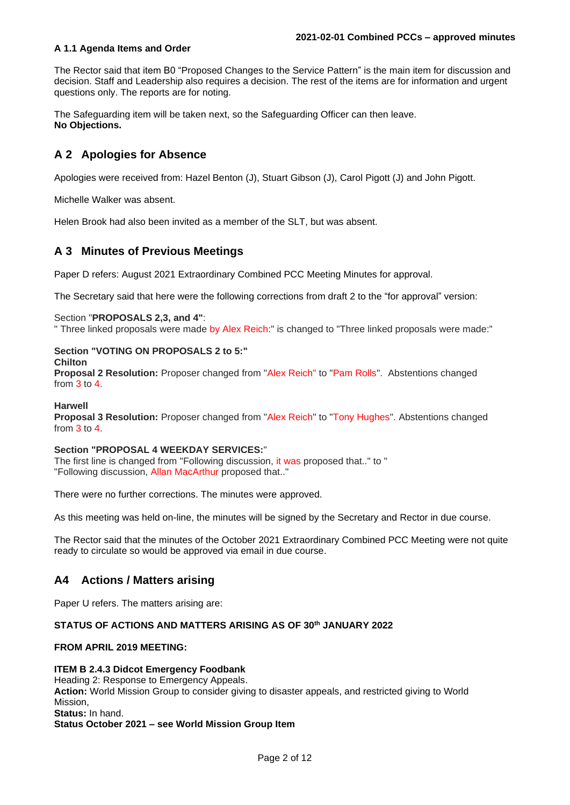# **A 1.1 Agenda Items and Order**

The Rector said that item B0 "Proposed Changes to the Service Pattern" is the main item for discussion and decision. Staff and Leadership also requires a decision. The rest of the items are for information and urgent questions only. The reports are for noting.

The Safeguarding item will be taken next, so the Safeguarding Officer can then leave. **No Objections.**

# **A 2 Apologies for Absence**

Apologies were received from: Hazel Benton (J), Stuart Gibson (J), Carol Pigott (J) and John Pigott.

Michelle Walker was absent.

Helen Brook had also been invited as a member of the SLT, but was absent.

# **A 3 Minutes of Previous Meetings**

Paper D refers: August 2021 Extraordinary Combined PCC Meeting Minutes for approval.

The Secretary said that here were the following corrections from draft 2 to the "for approval" version:

Section "**PROPOSALS 2,3, and 4"**:

" Three linked proposals were made by Alex Reich:" is changed to "Three linked proposals were made:"

### **Section "VOTING ON PROPOSALS 2 to 5:"**

**Chilton**

**Proposal 2 Resolution:** Proposer changed from "Alex Reich" to "Pam Rolls". Abstentions changed from 3 to 4.

#### **Harwell**

**Proposal 3 Resolution:** Proposer changed from "Alex Reich" to "Tony Hughes". Abstentions changed from 3 to 4.

#### **Section "PROPOSAL 4 WEEKDAY SERVICES:**"

The first line is changed from "Following discussion, it was proposed that.." to " "Following discussion, Allan MacArthur proposed that.."

There were no further corrections. The minutes were approved.

As this meeting was held on-line, the minutes will be signed by the Secretary and Rector in due course.

The Rector said that the minutes of the October 2021 Extraordinary Combined PCC Meeting were not quite ready to circulate so would be approved via email in due course.

# **A4 Actions / Matters arising**

Paper U refers. The matters arising are:

# **STATUS OF ACTIONS AND MATTERS ARISING AS OF 30th JANUARY 2022**

### **FROM APRIL 2019 MEETING:**

#### **ITEM B 2.4.3 Didcot Emergency Foodbank**

Heading 2: Response to Emergency Appeals. **Action:** World Mission Group to consider giving to disaster appeals, and restricted giving to World Mission, **Status:** In hand. **Status October 2021 – see World Mission Group Item**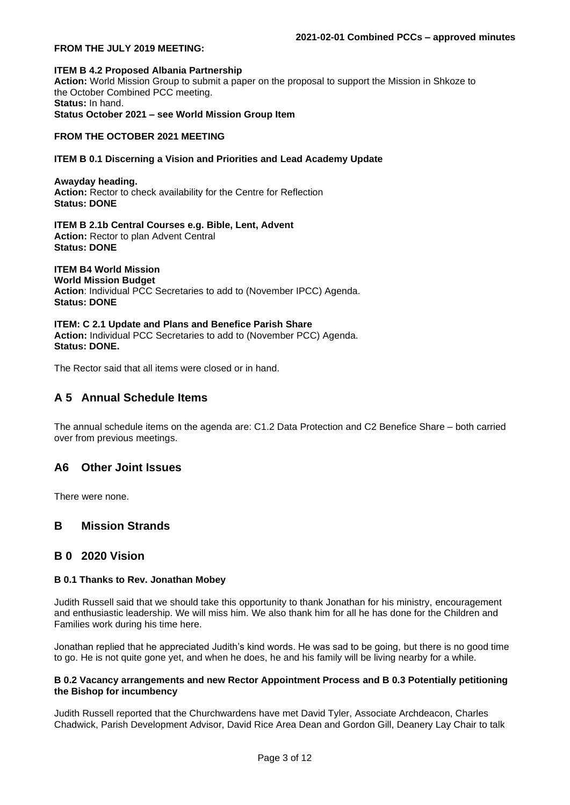#### **FROM THE JULY 2019 MEETING:**

#### **ITEM B 4.2 Proposed Albania Partnership Action:** World Mission Group to submit a paper on the proposal to support the Mission in Shkoze to the October Combined PCC meeting. **Status:** In hand. **Status October 2021 – see World Mission Group Item**

#### **FROM THE OCTOBER 2021 MEETING**

#### **ITEM B 0.1 Discerning a Vision and Priorities and Lead Academy Update**

**Awayday heading. Action:** Rector to check availability for the Centre for Reflection **Status: DONE**

**ITEM B 2.1b Central Courses e.g. Bible, Lent, Advent Action:** Rector to plan Advent Central **Status: DONE**

# **ITEM B4 World Mission**

**World Mission Budget Action**: Individual PCC Secretaries to add to (November IPCC) Agenda. **Status: DONE**

**ITEM: C 2.1 Update and Plans and Benefice Parish Share** Action: Individual PCC Secretaries to add to (November PCC) Agenda. **Status: DONE.**

The Rector said that all items were closed or in hand.

# **A 5 Annual Schedule Items**

The annual schedule items on the agenda are: C1.2 Data Protection and C2 Benefice Share – both carried over from previous meetings.

# **A6 Other Joint Issues**

There were none.

# **B Mission Strands**

# **B 0 2020 Vision**

#### **B 0.1 Thanks to Rev. Jonathan Mobey**

Judith Russell said that we should take this opportunity to thank Jonathan for his ministry, encouragement and enthusiastic leadership. We will miss him. We also thank him for all he has done for the Children and Families work during his time here.

Jonathan replied that he appreciated Judith's kind words. He was sad to be going, but there is no good time to go. He is not quite gone yet, and when he does, he and his family will be living nearby for a while.

#### **B 0.2 Vacancy arrangements and new Rector Appointment Process and B 0.3 Potentially petitioning the Bishop for incumbency**

Judith Russell reported that the Churchwardens have met David Tyler, Associate Archdeacon, Charles Chadwick, Parish Development Advisor, David Rice Area Dean and Gordon Gill, Deanery Lay Chair to talk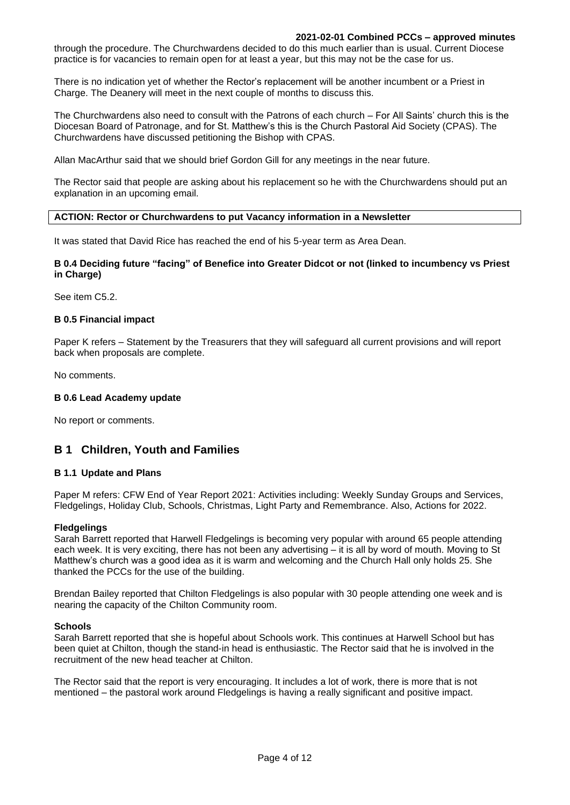#### **2021-02-01 Combined PCCs – approved minutes**

through the procedure. The Churchwardens decided to do this much earlier than is usual. Current Diocese practice is for vacancies to remain open for at least a year, but this may not be the case for us.

There is no indication yet of whether the Rector's replacement will be another incumbent or a Priest in Charge. The Deanery will meet in the next couple of months to discuss this.

The Churchwardens also need to consult with the Patrons of each church – For All Saints' church this is the Diocesan Board of Patronage, and for St. Matthew's this is the Church Pastoral Aid Society (CPAS). The Churchwardens have discussed petitioning the Bishop with CPAS.

Allan MacArthur said that we should brief Gordon Gill for any meetings in the near future.

The Rector said that people are asking about his replacement so he with the Churchwardens should put an explanation in an upcoming email.

#### **ACTION: Rector or Churchwardens to put Vacancy information in a Newsletter**

It was stated that David Rice has reached the end of his 5-year term as Area Dean.

### **B 0.4 Deciding future "facing" of Benefice into Greater Didcot or not (linked to incumbency vs Priest in Charge)**

See item C5.2.

#### **B 0.5 Financial impact**

Paper K refers – Statement by the Treasurers that they will safeguard all current provisions and will report back when proposals are complete.

No comments.

#### **B 0.6 Lead Academy update**

No report or comments.

# **B 1 Children, Youth and Families**

#### **B 1.1 Update and Plans**

Paper M refers: CFW End of Year Report 2021: Activities including: Weekly Sunday Groups and Services, Fledgelings, Holiday Club, Schools, Christmas, Light Party and Remembrance. Also, Actions for 2022.

#### **Fledgelings**

Sarah Barrett reported that Harwell Fledgelings is becoming very popular with around 65 people attending each week. It is very exciting, there has not been any advertising – it is all by word of mouth. Moving to St Matthew's church was a good idea as it is warm and welcoming and the Church Hall only holds 25. She thanked the PCCs for the use of the building.

Brendan Bailey reported that Chilton Fledgelings is also popular with 30 people attending one week and is nearing the capacity of the Chilton Community room.

#### **Schools**

Sarah Barrett reported that she is hopeful about Schools work. This continues at Harwell School but has been quiet at Chilton, though the stand-in head is enthusiastic. The Rector said that he is involved in the recruitment of the new head teacher at Chilton.

The Rector said that the report is very encouraging. It includes a lot of work, there is more that is not mentioned – the pastoral work around Fledgelings is having a really significant and positive impact.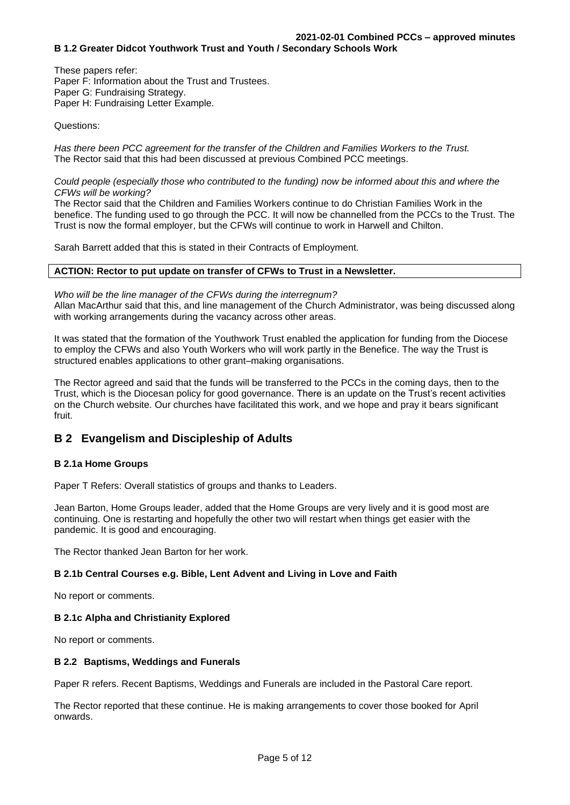These papers refer: Paper F: Information about the Trust and Trustees. Paper G: Fundraising Strategy. Paper H: Fundraising Letter Example.

Questions:

*Has there been PCC agreement for the transfer of the Children and Families Workers to the Trust.* The Rector said that this had been discussed at previous Combined PCC meetings.

*Could people (especially those who contributed to the funding) now be informed about this and where the CFWs will be working?*

The Rector said that the Children and Families Workers continue to do Christian Families Work in the benefice. The funding used to go through the PCC. It will now be channelled from the PCCs to the Trust. The Trust is now the formal employer, but the CFWs will continue to work in Harwell and Chilton.

Sarah Barrett added that this is stated in their Contracts of Employment.

### **ACTION: Rector to put update on transfer of CFWs to Trust in a Newsletter.**

*Who will be the line manager of the CFWs during the interregnum?* Allan MacArthur said that this, and line management of the Church Administrator, was being discussed along with working arrangements during the vacancy across other areas.

It was stated that the formation of the Youthwork Trust enabled the application for funding from the Diocese to employ the CFWs and also Youth Workers who will work partly in the Benefice. The way the Trust is structured enables applications to other grant–making organisations.

The Rector agreed and said that the funds will be transferred to the PCCs in the coming days, then to the Trust, which is the Diocesan policy for good governance. There is an update on the Trust's recent activities on the Church website. Our churches have facilitated this work, and we hope and pray it bears significant fruit.

# **B 2 Evangelism and Discipleship of Adults**

# **B 2.1a Home Groups**

Paper T Refers: Overall statistics of groups and thanks to Leaders.

Jean Barton, Home Groups leader, added that the Home Groups are very lively and it is good most are continuing. One is restarting and hopefully the other two will restart when things get easier with the pandemic. It is good and encouraging.

The Rector thanked Jean Barton for her work.

# **B 2.1b Central Courses e.g. Bible, Lent Advent and Living in Love and Faith**

No report or comments.

# **B 2.1c Alpha and Christianity Explored**

No report or comments.

# **B 2.2 Baptisms, Weddings and Funerals**

Paper R refers. Recent Baptisms, Weddings and Funerals are included in the Pastoral Care report.

The Rector reported that these continue. He is making arrangements to cover those booked for April onwards.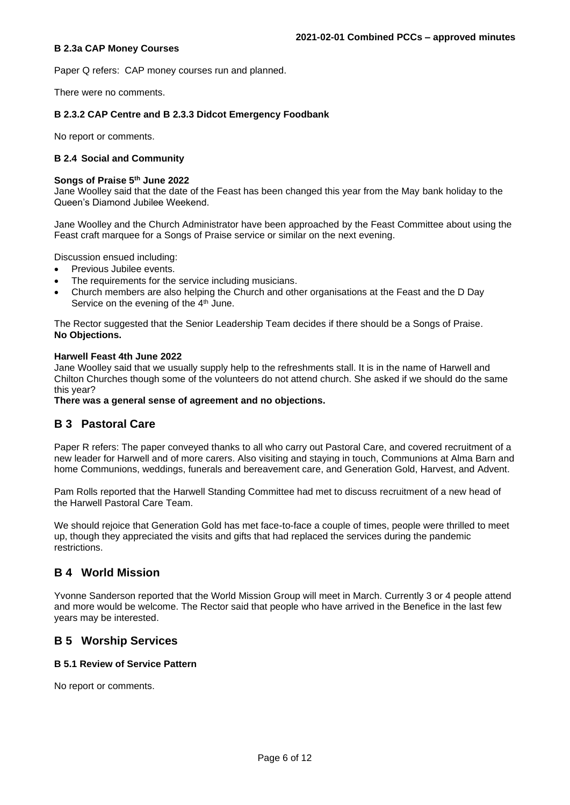### **B 2.3a CAP Money Courses**

Paper Q refers: CAP money courses run and planned.

There were no comments.

# **B 2.3.2 CAP Centre and B 2.3.3 Didcot Emergency Foodbank**

No report or comments.

### **B 2.4 Social and Community**

#### **Songs of Praise 5th June 2022**

Jane Woolley said that the date of the Feast has been changed this year from the May bank holiday to the Queen's Diamond Jubilee Weekend.

Jane Woolley and the Church Administrator have been approached by the Feast Committee about using the Feast craft marquee for a Songs of Praise service or similar on the next evening.

Discussion ensued including:

- Previous Jubilee events.
- The requirements for the service including musicians.
- Church members are also helping the Church and other organisations at the Feast and the D Day Service on the evening of the 4<sup>th</sup> June.

The Rector suggested that the Senior Leadership Team decides if there should be a Songs of Praise. **No Objections.** 

#### **Harwell Feast 4th June 2022**

Jane Woolley said that we usually supply help to the refreshments stall. It is in the name of Harwell and Chilton Churches though some of the volunteers do not attend church. She asked if we should do the same this year?

**There was a general sense of agreement and no objections.**

# **B 3 Pastoral Care**

Paper R refers: The paper conveyed thanks to all who carry out Pastoral Care, and covered recruitment of a new leader for Harwell and of more carers. Also visiting and staying in touch, Communions at Alma Barn and home Communions, weddings, funerals and bereavement care, and Generation Gold, Harvest, and Advent.

Pam Rolls reported that the Harwell Standing Committee had met to discuss recruitment of a new head of the Harwell Pastoral Care Team.

We should rejoice that Generation Gold has met face-to-face a couple of times, people were thrilled to meet up, though they appreciated the visits and gifts that had replaced the services during the pandemic restrictions.

# **B 4 World Mission**

Yvonne Sanderson reported that the World Mission Group will meet in March. Currently 3 or 4 people attend and more would be welcome. The Rector said that people who have arrived in the Benefice in the last few years may be interested.

# **B 5 Worship Services**

# **B 5.1 Review of Service Pattern**

No report or comments.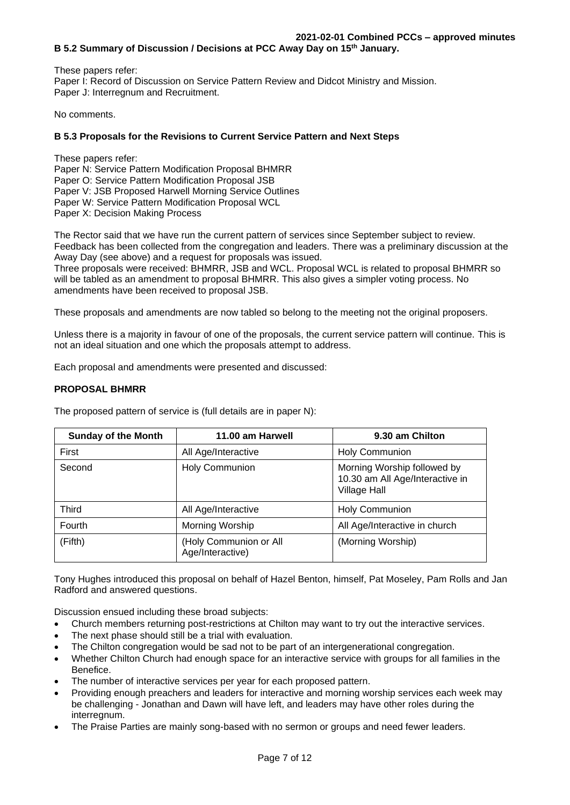These papers refer: Paper I: Record of Discussion on Service Pattern Review and Didcot Ministry and Mission. Paper J: Interregnum and Recruitment.

No comments.

# **B 5.3 Proposals for the Revisions to Current Service Pattern and Next Steps**

These papers refer: Paper N: Service Pattern Modification Proposal BHMRR Paper O: Service Pattern Modification Proposal JSB Paper V: JSB Proposed Harwell Morning Service Outlines Paper W: Service Pattern Modification Proposal WCL Paper X: Decision Making Process

The Rector said that we have run the current pattern of services since September subject to review. Feedback has been collected from the congregation and leaders. There was a preliminary discussion at the Away Day (see above) and a request for proposals was issued.

Three proposals were received: BHMRR, JSB and WCL. Proposal WCL is related to proposal BHMRR so will be tabled as an amendment to proposal BHMRR. This also gives a simpler voting process. No amendments have been received to proposal JSB.

These proposals and amendments are now tabled so belong to the meeting not the original proposers.

Unless there is a majority in favour of one of the proposals, the current service pattern will continue. This is not an ideal situation and one which the proposals attempt to address.

Each proposal and amendments were presented and discussed:

# **PROPOSAL BHMRR**

The proposed pattern of service is (full details are in paper N):

| <b>Sunday of the Month</b> | 11.00 am Harwell                           | 9.30 am Chilton                                                                       |  |
|----------------------------|--------------------------------------------|---------------------------------------------------------------------------------------|--|
| First                      | All Age/Interactive                        | <b>Holy Communion</b>                                                                 |  |
| Second                     | <b>Holy Communion</b>                      | Morning Worship followed by<br>10.30 am All Age/Interactive in<br><b>Village Hall</b> |  |
| Third                      | All Age/Interactive                        | <b>Holy Communion</b>                                                                 |  |
| Fourth                     | Morning Worship                            | All Age/Interactive in church                                                         |  |
| (Fifth)                    | (Holy Communion or All<br>Age/Interactive) | (Morning Worship)                                                                     |  |

Tony Hughes introduced this proposal on behalf of Hazel Benton, himself, Pat Moseley, Pam Rolls and Jan Radford and answered questions.

Discussion ensued including these broad subjects:

- Church members returning post-restrictions at Chilton may want to try out the interactive services.
- The next phase should still be a trial with evaluation.
- The Chilton congregation would be sad not to be part of an intergenerational congregation.
- Whether Chilton Church had enough space for an interactive service with groups for all families in the Benefice.
- The number of interactive services per year for each proposed pattern.
- Providing enough preachers and leaders for interactive and morning worship services each week may be challenging - Jonathan and Dawn will have left, and leaders may have other roles during the interregnum.
- The Praise Parties are mainly song-based with no sermon or groups and need fewer leaders.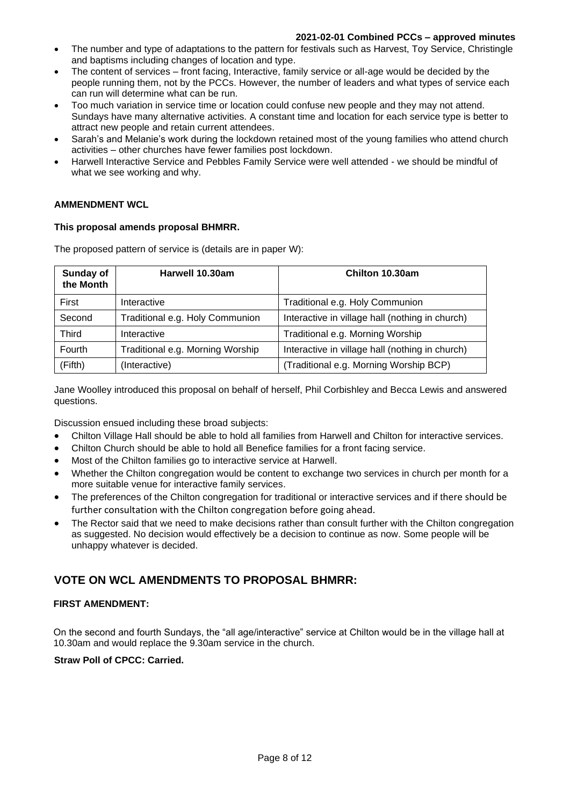- The number and type of adaptations to the pattern for festivals such as Harvest, Toy Service, Christingle and baptisms including changes of location and type.
- The content of services front facing, Interactive, family service or all-age would be decided by the people running them, not by the PCCs. However, the number of leaders and what types of service each can run will determine what can be run.
- Too much variation in service time or location could confuse new people and they may not attend. Sundays have many alternative activities. A constant time and location for each service type is better to attract new people and retain current attendees.
- Sarah's and Melanie's work during the lockdown retained most of the young families who attend church activities – other churches have fewer families post lockdown.
- Harwell Interactive Service and Pebbles Family Service were well attended we should be mindful of what we see working and why.

# **AMMENDMENT WCL**

# **This proposal amends proposal BHMRR.**

The proposed pattern of service is (details are in paper W):

| Sunday of<br>the Month | Harwell 10.30am                  | Chilton 10.30am                                 |  |  |
|------------------------|----------------------------------|-------------------------------------------------|--|--|
| First                  | Interactive                      | Traditional e.g. Holy Communion                 |  |  |
| Second                 | Traditional e.g. Holy Communion  | Interactive in village hall (nothing in church) |  |  |
| <b>Third</b>           | Interactive                      | Traditional e.g. Morning Worship                |  |  |
| Fourth                 | Traditional e.g. Morning Worship | Interactive in village hall (nothing in church) |  |  |
| (Fifth)                | (Interactive)                    | (Traditional e.g. Morning Worship BCP)          |  |  |

Jane Woolley introduced this proposal on behalf of herself, Phil Corbishley and Becca Lewis and answered questions.

Discussion ensued including these broad subjects:

- Chilton Village Hall should be able to hold all families from Harwell and Chilton for interactive services.
- Chilton Church should be able to hold all Benefice families for a front facing service.
- Most of the Chilton families go to interactive service at Harwell.
- Whether the Chilton congregation would be content to exchange two services in church per month for a more suitable venue for interactive family services.
- The preferences of the Chilton congregation for traditional or interactive services and if there should be further consultation with the Chilton congregation before going ahead.
- The Rector said that we need to make decisions rather than consult further with the Chilton congregation as suggested. No decision would effectively be a decision to continue as now. Some people will be unhappy whatever is decided.

# **VOTE ON WCL AMENDMENTS TO PROPOSAL BHMRR:**

# **FIRST AMENDMENT:**

On the second and fourth Sundays, the "all age/interactive" service at Chilton would be in the village hall at 10.30am and would replace the 9.30am service in the church.

# **Straw Poll of CPCC: Carried.**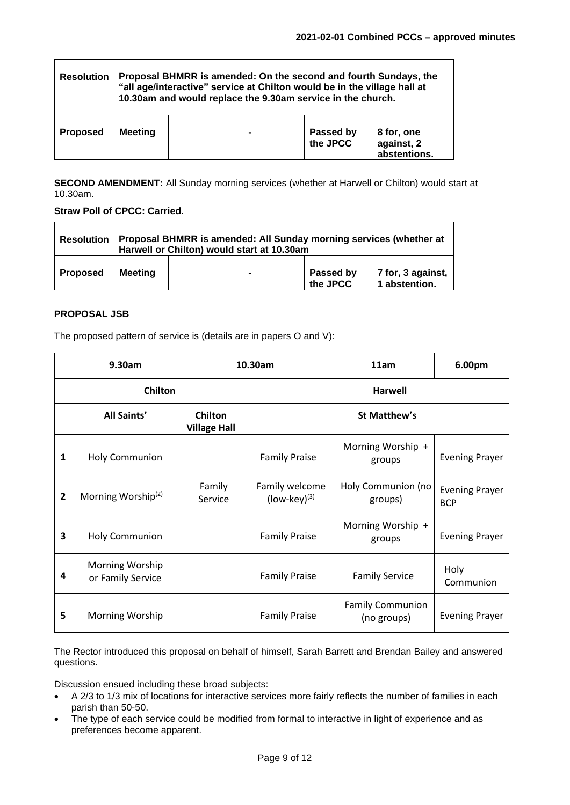| <b>Resolution</b> | Proposal BHMRR is amended: On the second and fourth Sundays, the<br>"all age/interactive" service at Chilton would be in the village hall at<br>10.30am and would replace the 9.30am service in the church. |  |  |                       |                                          |
|-------------------|-------------------------------------------------------------------------------------------------------------------------------------------------------------------------------------------------------------|--|--|-----------------------|------------------------------------------|
| <b>Proposed</b>   | <b>Meeting</b>                                                                                                                                                                                              |  |  | Passed by<br>the JPCC | 8 for, one<br>against, 2<br>abstentions. |

**SECOND AMENDMENT:** All Sunday morning services (whether at Harwell or Chilton) would start at 10.30am.

**Straw Poll of CPCC: Carried.**

| <b>Resolution</b> | Proposal BHMRR is amended: All Sunday morning services (whether at<br>Harwell or Chilton) would start at 10.30am |  |                |                       |                                    |
|-------------------|------------------------------------------------------------------------------------------------------------------|--|----------------|-----------------------|------------------------------------|
| <b>Proposed</b>   | <b>Meeting</b>                                                                                                   |  | $\blacksquare$ | Passed by<br>the JPCC | 7 for, 3 against,<br>1 abstention. |

# **PROPOSAL JSB**

The proposed pattern of service is (details are in papers O and V):

|   | 9.30am                               | 10.30am                        |                                     | 11am                                   | 6.00pm                              |  |
|---|--------------------------------------|--------------------------------|-------------------------------------|----------------------------------------|-------------------------------------|--|
|   | Chilton                              |                                |                                     | <b>Harwell</b>                         |                                     |  |
|   | <b>All Saints'</b>                   | Chilton<br><b>Village Hall</b> | <b>St Matthew's</b>                 |                                        |                                     |  |
| 1 | <b>Holy Communion</b>                |                                | <b>Family Praise</b>                | Morning Worship +<br>groups            | <b>Evening Prayer</b>               |  |
| 2 | Morning Worship <sup>(2)</sup>       | Family<br>Service              | Family welcome<br>$(Iow-key)^{(3)}$ | Holy Communion (no<br>groups)          | <b>Evening Prayer</b><br><b>BCP</b> |  |
| 3 | <b>Holy Communion</b>                |                                | <b>Family Praise</b>                | Morning Worship +<br>groups            | <b>Evening Prayer</b>               |  |
| 4 | Morning Worship<br>or Family Service |                                | <b>Family Praise</b>                | <b>Family Service</b>                  | Holy<br>Communion                   |  |
| 5 | Morning Worship                      |                                | <b>Family Praise</b>                | <b>Family Communion</b><br>(no groups) | <b>Evening Prayer</b>               |  |

The Rector introduced this proposal on behalf of himself, Sarah Barrett and Brendan Bailey and answered questions.

Discussion ensued including these broad subjects:

- A 2/3 to 1/3 mix of locations for interactive services more fairly reflects the number of families in each parish than 50-50.
- The type of each service could be modified from formal to interactive in light of experience and as preferences become apparent.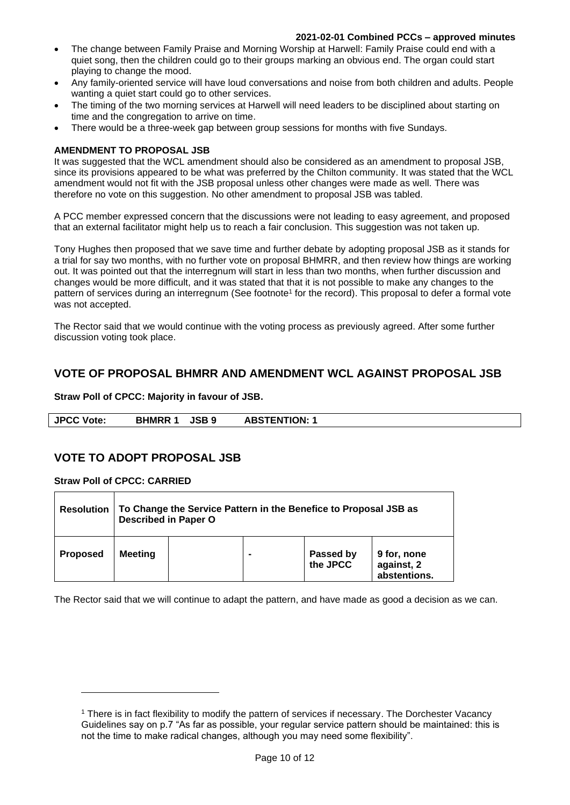#### **2021-02-01 Combined PCCs – approved minutes**

- The change between Family Praise and Morning Worship at Harwell: Family Praise could end with a quiet song, then the children could go to their groups marking an obvious end. The organ could start playing to change the mood.
- Any family-oriented service will have loud conversations and noise from both children and adults. People wanting a quiet start could go to other services.
- The timing of the two morning services at Harwell will need leaders to be disciplined about starting on time and the congregation to arrive on time.
- There would be a three-week gap between group sessions for months with five Sundays.

#### **AMENDMENT TO PROPOSAL JSB**

It was suggested that the WCL amendment should also be considered as an amendment to proposal JSB, since its provisions appeared to be what was preferred by the Chilton community. It was stated that the WCL amendment would not fit with the JSB proposal unless other changes were made as well. There was therefore no vote on this suggestion. No other amendment to proposal JSB was tabled.

A PCC member expressed concern that the discussions were not leading to easy agreement, and proposed that an external facilitator might help us to reach a fair conclusion. This suggestion was not taken up.

Tony Hughes then proposed that we save time and further debate by adopting proposal JSB as it stands for a trial for say two months, with no further vote on proposal BHMRR, and then review how things are working out. It was pointed out that the interregnum will start in less than two months, when further discussion and changes would be more difficult, and it was stated that that it is not possible to make any changes to the pattern of services during an interregnum (See footnote<sup>1</sup> for the record). This proposal to defer a formal vote was not accepted.

The Rector said that we would continue with the voting process as previously agreed. After some further discussion voting took place.

# **VOTE OF PROPOSAL BHMRR AND AMENDMENT WCL AGAINST PROPOSAL JSB**

#### **Straw Poll of CPCC: Majority in favour of JSB.**

| <b>JPCC Vote:</b> | <b>JSB 9</b><br><b>BHMRR</b> | <b>ABSTENTION:</b> |  |
|-------------------|------------------------------|--------------------|--|

# **VOTE TO ADOPT PROPOSAL JSB**

**Straw Poll of CPCC: CARRIED**

| <b>Resolution</b> | To Change the Service Pattern in the Benefice to Proposal JSB as<br><b>Described in Paper O</b> |  |  |  |              |
|-------------------|-------------------------------------------------------------------------------------------------|--|--|--|--------------|
| <b>Proposed</b>   | Passed by<br>the JPCC<br>9 for, none<br>Meeting<br>$\blacksquare$<br>against, 2                 |  |  |  | abstentions. |

The Rector said that we will continue to adapt the pattern, and have made as good a decision as we can.

<sup>1</sup> There is in fact flexibility to modify the pattern of services if necessary. The Dorchester Vacancy Guidelines say on p.7 "As far as possible, your regular service pattern should be maintained: this is not the time to make radical changes, although you may need some flexibility".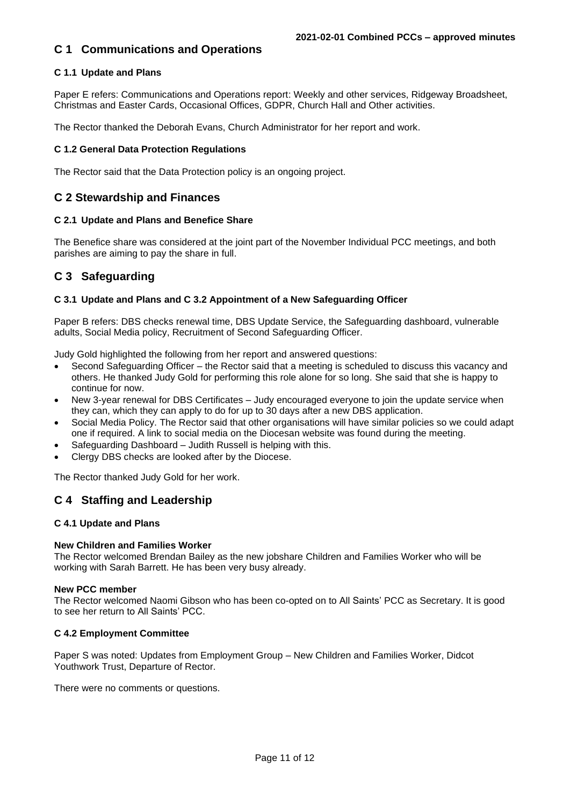# **C 1 Communications and Operations**

# **C 1.1 Update and Plans**

Paper E refers: Communications and Operations report: Weekly and other services, Ridgeway Broadsheet, Christmas and Easter Cards, Occasional Offices, GDPR, Church Hall and Other activities.

The Rector thanked the Deborah Evans, Church Administrator for her report and work.

### **C 1.2 General Data Protection Regulations**

The Rector said that the Data Protection policy is an ongoing project.

# **C 2 Stewardship and Finances**

### **C 2.1 Update and Plans and Benefice Share**

The Benefice share was considered at the joint part of the November Individual PCC meetings, and both parishes are aiming to pay the share in full.

# **C 3 Safeguarding**

### **C 3.1 Update and Plans and C 3.2 Appointment of a New Safeguarding Officer**

Paper B refers: DBS checks renewal time, DBS Update Service, the Safeguarding dashboard, vulnerable adults, Social Media policy, Recruitment of Second Safeguarding Officer.

Judy Gold highlighted the following from her report and answered questions:

- Second Safeguarding Officer the Rector said that a meeting is scheduled to discuss this vacancy and others. He thanked Judy Gold for performing this role alone for so long. She said that she is happy to continue for now.
- New 3-year renewal for DBS Certificates Judy encouraged everyone to join the update service when they can, which they can apply to do for up to 30 days after a new DBS application.
- Social Media Policy. The Rector said that other organisations will have similar policies so we could adapt one if required. A link to social media on the Diocesan website was found during the meeting.
- Safeguarding Dashboard Judith Russell is helping with this.
- Clergy DBS checks are looked after by the Diocese.

The Rector thanked Judy Gold for her work.

# **C 4 Staffing and Leadership**

#### **C 4.1 Update and Plans**

#### **New Children and Families Worker**

The Rector welcomed Brendan Bailey as the new jobshare Children and Families Worker who will be working with Sarah Barrett. He has been very busy already.

#### **New PCC member**

The Rector welcomed Naomi Gibson who has been co-opted on to All Saints' PCC as Secretary. It is good to see her return to All Saints' PCC.

#### **C 4.2 Employment Committee**

Paper S was noted: Updates from Employment Group – New Children and Families Worker, Didcot Youthwork Trust, Departure of Rector.

There were no comments or questions.